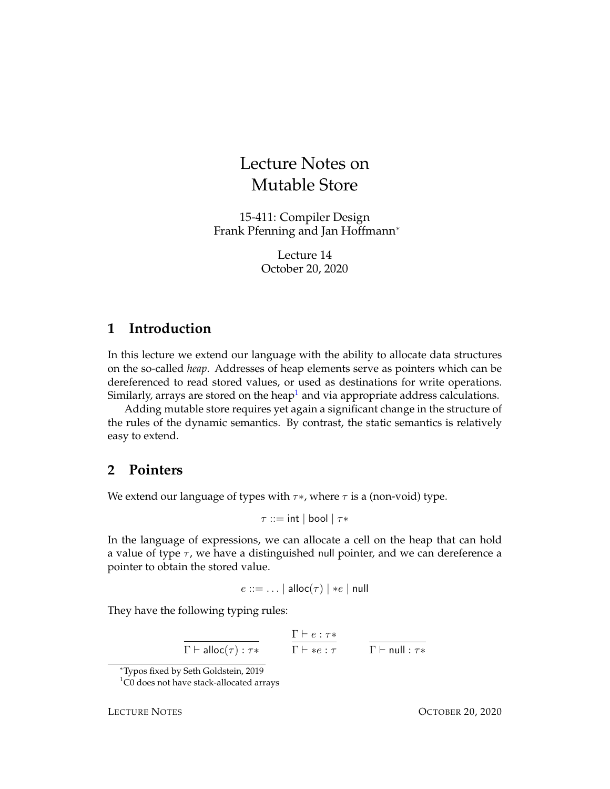# Lecture Notes on Mutable Store

15-411: Compiler Design Frank Pfenning and Jan Hoffmann<sup>∗</sup>

> Lecture 14 October 20, 2020

### **1 Introduction**

In this lecture we extend our language with the ability to allocate data structures on the so-called *heap*. Addresses of heap elements serve as pointers which can be dereferenced to read stored values, or used as destinations for write operations. Similarly, arrays are stored on the heap<sup>[1](#page-0-0)</sup> and via appropriate address calculations.

Adding mutable store requires yet again a significant change in the structure of the rules of the dynamic semantics. By contrast, the static semantics is relatively easy to extend.

## **2 Pointers**

We extend our language of types with  $\tau *$ , where  $\tau$  is a (non-void) type.

 $\tau ::= \mathsf{int} | \mathsf{bool} | \tau *$ 

In the language of expressions, we can allocate a cell on the heap that can hold a value of type  $\tau$ , we have a distinguished null pointer, and we can dereference a pointer to obtain the stored value.

$$
e ::= \dots | \text{ alloc}(\tau) | *e | \text{ null}
$$

They have the following typing rules:

 $\Gamma \vdash \mathsf{alloc}{(\tau)} : \tau *$  $\Gamma \vdash e : \tau*$  $\Gamma \vdash *e : \tau$   $\qquad \Gamma \vdash \mathsf{null} : \tau *$ 

<span id="page-0-0"></span><sup>1</sup>C0 does not have stack-allocated arrays

<sup>∗</sup>Typos fixed by Seth Goldstein, 2019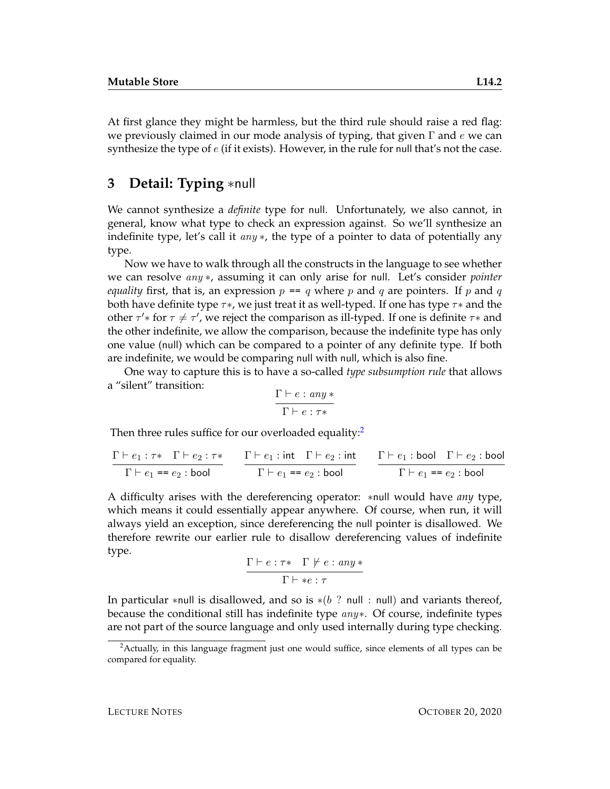At first glance they might be harmless, but the third rule should raise a red flag: we previously claimed in our mode analysis of typing, that given  $\Gamma$  and e we can synthesize the type of  $e$  (if it exists). However, in the rule for null that's not the case.

### **3 Detail: Typing** ∗null

We cannot synthesize a *definite* type for null. Unfortunately, we also cannot, in general, know what type to check an expression against. So we'll synthesize an indefinite type, let's call it  $any *$ , the type of a pointer to data of potentially any type.

Now we have to walk through all the constructs in the language to see whether we can resolve any ∗, assuming it can only arise for null. Let's consider *pointer equality* first, that is, an expression  $p == q$  where p and q are pointers. If p and q both have definite type  $\tau\ast$ , we just treat it as well-typed. If one has type  $\tau\ast$  and the other  $\tau'$ \* for  $\tau \neq \tau'$ , we reject the comparison as ill-typed. If one is definite  $\tau$ \* and the other indefinite, we allow the comparison, because the indefinite type has only one value (null) which can be compared to a pointer of any definite type. If both are indefinite, we would be comparing null with null, which is also fine.

One way to capture this is to have a so-called *type subsumption rule* that allows a "silent" transition:

$$
\frac{\Gamma\vdash e: any*}{\Gamma\vdash e: \tau*}
$$

Then three rules suffice for our overloaded equality: $2$ 

$$
\cfrac{\Gamma \vdash e_1 : \tau \ast \quad \Gamma \vdash e_2 : \tau \ast}{\Gamma \vdash e_1 = e_2 : \text{bool}}
$$
\n
$$
\cfrac{\Gamma \vdash e_1 : \text{int} \quad \Gamma \vdash e_2 : \text{int}}{\Gamma \vdash e_1 = e_2 : \text{bool}}
$$
\n
$$
\cfrac{\Gamma \vdash e_1 : \text{bool} \quad \Gamma \vdash e_2 : \text{bool}}{\Gamma \vdash e_1 = e_2 : \text{bool}}
$$

A difficulty arises with the dereferencing operator: ∗null would have *any* type, which means it could essentially appear anywhere. Of course, when run, it will always yield an exception, since dereferencing the null pointer is disallowed. We therefore rewrite our earlier rule to disallow dereferencing values of indefinite type.

$$
\frac{\Gamma \vdash e : \tau \ast \quad \Gamma \not\models e : any \ast}{\Gamma \vdash \ast e : \tau}
$$

In particular ∗null is disallowed, and so is  $*(b$  ? null : null) and variants thereof, because the conditional still has indefinite type  $any*$ . Of course, indefinite types are not part of the source language and only used internally during type checking.

<span id="page-1-0"></span><sup>&</sup>lt;sup>2</sup> Actually, in this language fragment just one would suffice, since elements of all types can be compared for equality.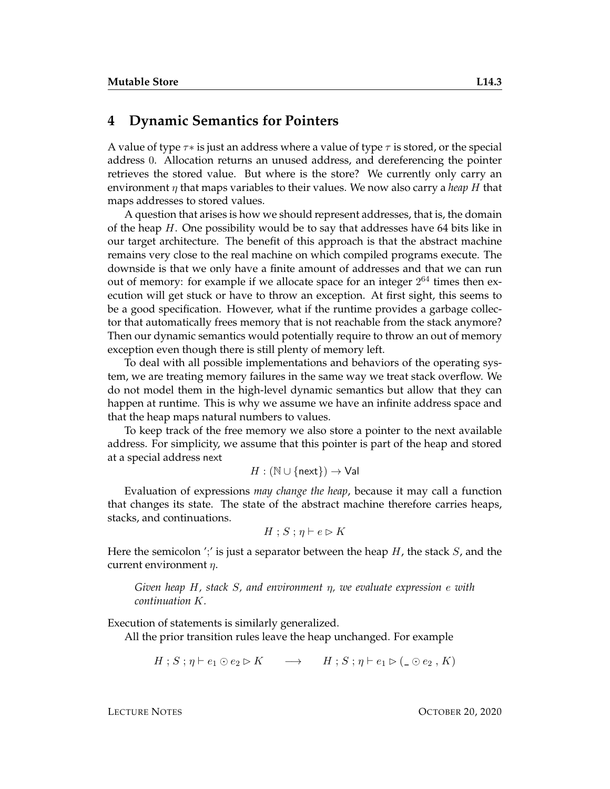#### **4 Dynamic Semantics for Pointers**

A value of type  $\tau *$  is just an address where a value of type  $\tau$  is stored, or the special address 0. Allocation returns an unused address, and dereferencing the pointer retrieves the stored value. But where is the store? We currently only carry an environment  $\eta$  that maps variables to their values. We now also carry a *heap* H that maps addresses to stored values.

A question that arises is how we should represent addresses, that is, the domain of the heap  $H$ . One possibility would be to say that addresses have 64 bits like in our target architecture. The benefit of this approach is that the abstract machine remains very close to the real machine on which compiled programs execute. The downside is that we only have a finite amount of addresses and that we can run out of memory: for example if we allocate space for an integer  $2^{64}$  times then execution will get stuck or have to throw an exception. At first sight, this seems to be a good specification. However, what if the runtime provides a garbage collector that automatically frees memory that is not reachable from the stack anymore? Then our dynamic semantics would potentially require to throw an out of memory exception even though there is still plenty of memory left.

To deal with all possible implementations and behaviors of the operating system, we are treating memory failures in the same way we treat stack overflow. We do not model them in the high-level dynamic semantics but allow that they can happen at runtime. This is why we assume we have an infinite address space and that the heap maps natural numbers to values.

To keep track of the free memory we also store a pointer to the next available address. For simplicity, we assume that this pointer is part of the heap and stored at a special address next

$$
H: (\mathbb{N} \cup \{\mathsf{next}\}) \to \mathsf{Val}
$$

Evaluation of expressions *may change the heap*, because it may call a function that changes its state. The state of the abstract machine therefore carries heaps, stacks, and continuations.

$$
H \mathbin{;} S \mathbin{;} \eta \vdash e \rhd K
$$

Here the semicolon ';' is just a separator between the heap  $H$ , the stack  $S$ , and the current environment  $\eta$ .

#### *Given heap* H*, stack* S*, and environment* η*, we evaluate expression* e *with continuation* K*.*

Execution of statements is similarly generalized.

All the prior transition rules leave the heap unchanged. For example

$$
H; S; \eta \vdash e_1 \odot e_2 \rhd K \qquad \longrightarrow \qquad H; S; \eta \vdash e_1 \rhd (\_ \odot e_2 \,, K)
$$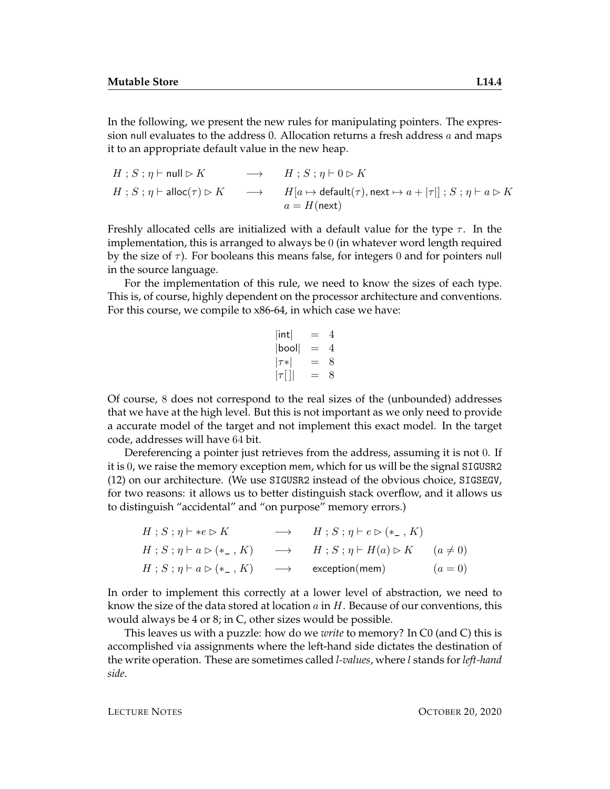In the following, we present the new rules for manipulating pointers. The expression null evaluates to the address 0. Allocation returns a fresh address  $a$  and maps it to an appropriate default value in the new heap.

$$
H; S; \eta \vdash \mathsf{null} \triangleright K \longrightarrow H; S; \eta \vdash 0 \triangleright K
$$
  

$$
H; S; \eta \vdash \mathsf{alloc}(\tau) \triangleright K \longrightarrow H[a \mapsto \mathsf{default}(\tau), \mathsf{next} \mapsto a + |\tau|] ; S; \eta \vdash a \triangleright K
$$
  

$$
a = H(\mathsf{next})
$$

Freshly allocated cells are initialized with a default value for the type  $\tau$ . In the implementation, this is arranged to always be 0 (in whatever word length required by the size of  $\tau$ ). For booleans this means false, for integers 0 and for pointers null in the source language.

For the implementation of this rule, we need to know the sizes of each type. This is, of course, highly dependent on the processor architecture and conventions. For this course, we compile to x86-64, in which case we have:

$$
|\text{int}| = 4
$$
  
\n|bool| = 4  
\n
$$
|\tau *| = 8
$$
  
\n
$$
|\tau|| = 8
$$

Of course, 8 does not correspond to the real sizes of the (unbounded) addresses that we have at the high level. But this is not important as we only need to provide a accurate model of the target and not implement this exact model. In the target code, addresses will have 64 bit.

Dereferencing a pointer just retrieves from the address, assuming it is not 0. If it is 0, we raise the memory exception mem, which for us will be the signal SIGUSR2 (12) on our architecture. (We use SIGUSR2 instead of the obvious choice, SIGSEGV, for two reasons: it allows us to better distinguish stack overflow, and it allows us to distinguish "accidental" and "on purpose" memory errors.)

$$
H; S; \eta \vdash *e \rhd K \longrightarrow H; S; \eta \vdash e \rhd (*_-, K)
$$
  
\n
$$
H; S; \eta \vdash a \rhd (*_-, K) \longrightarrow H; S; \eta \vdash H(a) \rhd K \quad (a \neq 0)
$$
  
\n
$$
H; S; \eta \vdash a \rhd (*_-, K) \longrightarrow \text{exception}(mem) \quad (a = 0)
$$

In order to implement this correctly at a lower level of abstraction, we need to know the size of the data stored at location  $a$  in  $H$ . Because of our conventions, this would always be 4 or 8; in C, other sizes would be possible.

This leaves us with a puzzle: how do we *write* to memory? In C0 (and C) this is accomplished via assignments where the left-hand side dictates the destination of the write operation. These are sometimes called *l-values*, where l stands for *left-hand side*.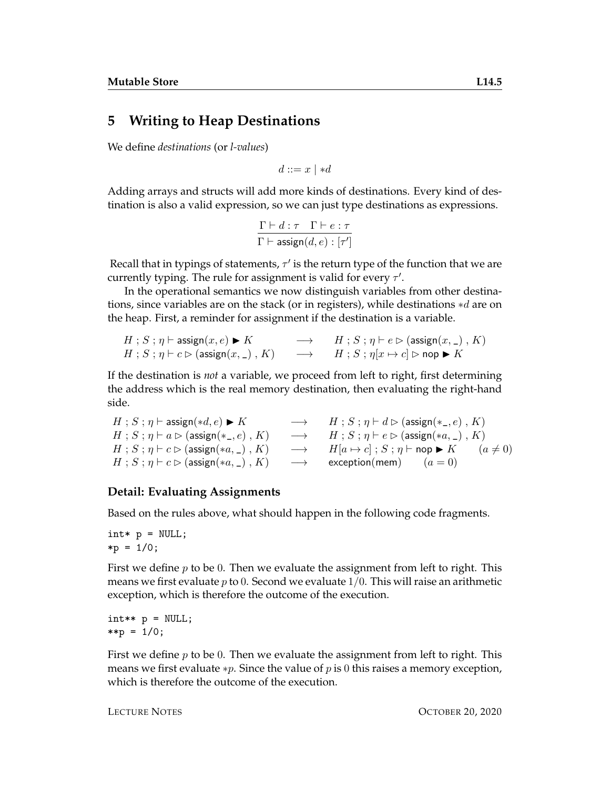### **5 Writing to Heap Destinations**

We define *destinations* (or *l-values*)

$$
d ::= x \mid *d
$$

Adding arrays and structs will add more kinds of destinations. Every kind of destination is also a valid expression, so we can just type destinations as expressions.

$$
\frac{\Gamma \vdash d : \tau \quad \Gamma \vdash e : \tau}{\Gamma \vdash \mathsf{assign}(d, e) : [\tau']}
$$

Recall that in typings of statements,  $\tau'$  is the return type of the function that we are currently typing. The rule for assignment is valid for every  $\tau'$ .

In the operational semantics we now distinguish variables from other destinations, since variables are on the stack (or in registers), while destinations ∗d are on the heap. First, a reminder for assignment if the destination is a variable.

$$
H : S : \eta \vdash \mathrm{assign}(x, e) \blacktriangleright K \longrightarrow H : S : \eta \vdash e \rhd (\mathrm{assign}(x, \_) \, , K)
$$
  

$$
H : S : \eta \vdash e \rhd (\mathrm{assign}(x, \_) \, , K) \longrightarrow H : S : \eta[x \mapsto c] \rhd \mathsf{nop} \blacktriangleright K
$$

If the destination is *not* a variable, we proceed from left to right, first determining the address which is the real memory destination, then evaluating the right-hand side.

```
H : S : \eta \vdash \text{assign}(*d, e) \blacktriangleright K \longrightarrow H : S : \eta \vdash d \triangleright (\text{assign}(*_e), K)H : S : \eta \vdash a \rhd (\text{assign}(*\_ , e) , K) \longrightarrow H : S : \eta \vdash e \rhd (\text{assign}(*a, \_) , K)H; S; \eta \vdash c \rhd (\text{assign}(*a, \_), K) \longrightarrow H[a \mapsto c]; S; \eta \vdash \text{nop} \blacktriangleright K (a \neq 0)
H; S; \eta \vdash c \triangleright (assign(*a, _), K) \longrightarrow exception(mem) (a = 0)
```
#### **Detail: Evaluating Assignments**

Based on the rules above, what should happen in the following code fragments.

 $int* p = NULL;$  $*p = 1/0;$ 

First we define  $p$  to be 0. Then we evaluate the assignment from left to right. This means we first evaluate  $p$  to 0. Second we evaluate  $1/0$ . This will raise an arithmetic exception, which is therefore the outcome of the execution.

```
int** p = NULL;**p = 1/0;
```
First we define  $p$  to be 0. Then we evaluate the assignment from left to right. This means we first evaluate  $*p$ . Since the value of p is 0 this raises a memory exception, which is therefore the outcome of the execution.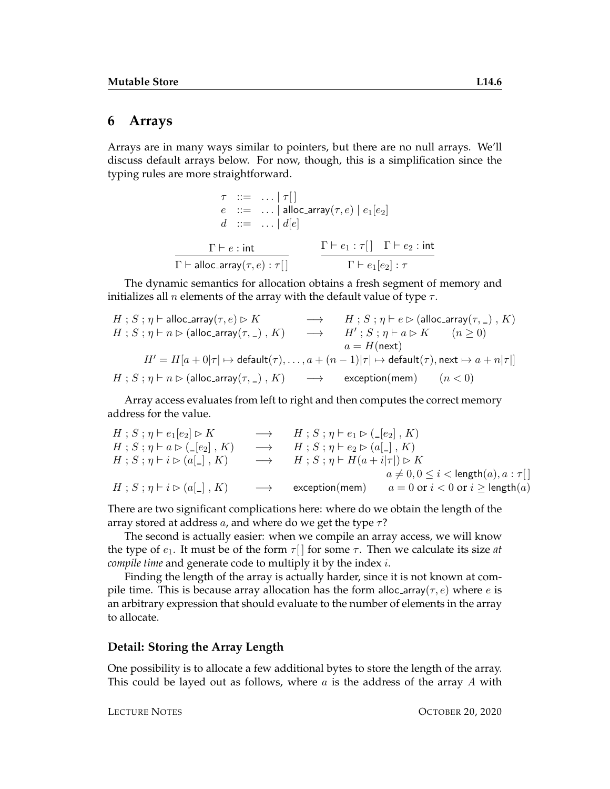#### **6 Arrays**

Arrays are in many ways similar to pointers, but there are no null arrays. We'll discuss default arrays below. For now, though, this is a simplification since the typing rules are more straightforward.

```
\tau ::= ... | \tau[]
                 e ::= ... | alloc_array(\tau, e) | e_1[e_2]d \ ::= \ \ldots \mid d[e]\Gamma \vdash e : \mathsf{int}\Gamma \vdash alloc_array(\tau, e) : \tau \lceil \rceil\Gamma \vdash e_1 : \tau [ \ ] \quad \Gamma \vdash e_2 : \mathsf{int}\Gamma \vdash e_1[e_2] : \tau
```
The dynamic semantics for allocation obtains a fresh segment of memory and initializes all *n* elements of the array with the default value of type  $\tau$ .

$$
\begin{array}{ccc} H\;;\,S\;;\,\eta \vdash \text{alloc\_array}(\tau,e) \rhd K & \longrightarrow & H\;;\,S\;;\,\eta \vdash e \rhd (\text{alloc\_array}(\tau,\,\_)\;,\,K)\\ H\;;\,S\;;\,\eta \vdash n \rhd (\text{alloc\_array}(\tau,\,\_)\;,\,K) & \longrightarrow & H'\;;\,S\;;\,\eta \vdash a \rhd K & (n \geq 0)\\ & & a = H(\text{next})\\ H'\,=\,H[a\,+\,0|\tau \,]\mapsto \text{default}(\tau),\,\ldots,\,a\,+\,(n-1)|\tau \,]\mapsto \text{default}(\tau),\,\text{next} \mapsto a + n|\tau|]\\ H\;;\,S\;;\,\eta \vdash n \rhd (\text{alloc\_array}(\tau,\,\_)\;,\,K) & \longrightarrow & \text{exception}(\text{mem})\qquad (n < 0)\\ \end{array}
$$

Array access evaluates from left to right and then computes the correct memory address for the value.

| $H$ ; $S$ ; $\eta$ $\vdash$ $e_1$ $[e_2] \triangleright K$                     |                   | $\rightarrow$ $H$ ; $S$ ; $\eta$ $\vdash$ $e_1 \triangleright (\_ [e_2]$ , $K$ )          |                                                  |
|--------------------------------------------------------------------------------|-------------------|-------------------------------------------------------------------------------------------|--------------------------------------------------|
| $H$ ; $S$ ; $\eta$ $\vdash$ $a \triangleright$ ( $\lfloor e_2 \rfloor$ , $K$ ) |                   | $\rightarrow$ $H$ ; $S$ ; $\eta$ $\vdash$ $e_2 \triangleright$ $(a \lfloor . \rfloor, K)$ |                                                  |
| $H$ ; $S$ ; $\eta$ $\vdash$ $i \triangleright$ $(a[\_], K)$                    |                   | $\rightarrow$ $H$ ; $S$ ; $\eta$ $\vdash$ $H(a+i \tau ) \triangleright K$                 |                                                  |
|                                                                                |                   |                                                                                           | $a \neq 0, 0 \leq i <$ length $(a), a : \tau$ [] |
| $H$ ; $S$ ; $\eta$ $\vdash$ $i \triangleright$ $(a \lbrack - \rbrack, K)$      | $\longrightarrow$ | exception(mem)                                                                            | $a = 0$ or $i < 0$ or $i \geq$ length $(a)$      |

There are two significant complications here: where do we obtain the length of the array stored at address a, and where do we get the type  $\tau$ ?

The second is actually easier: when we compile an array access, we will know the type of  $e_1$ . It must be of the form  $\tau$  | for some  $\tau$ . Then we calculate its size *at compile time* and generate code to multiply it by the index i.

Finding the length of the array is actually harder, since it is not known at compile time. This is because array allocation has the form alloc-array( $\tau$ ,  $e$ ) where  $e$  is an arbitrary expression that should evaluate to the number of elements in the array to allocate.

#### **Detail: Storing the Array Length**

One possibility is to allocate a few additional bytes to store the length of the array. This could be layed out as follows, where  $a$  is the address of the array  $A$  with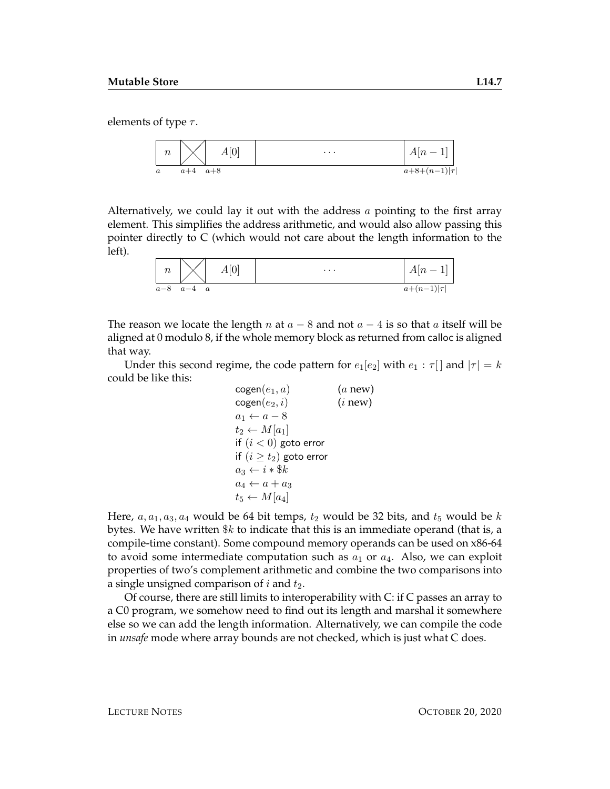elements of type  $\tau$ .



Alternatively, we could lay it out with the address  $a$  pointing to the first array element. This simplifies the address arithmetic, and would also allow passing this pointer directly to C (which would not care about the length information to the left).

| $\, n$ | A[0]                      | $\cdots$ | $\Delta \lceil n \rceil$ |
|--------|---------------------------|----------|--------------------------|
| $a-8$  | $a-4$<br>$\boldsymbol{a}$ |          | $a+(n-1) \tau $          |

The reason we locate the length n at  $a - 8$  and not  $a - 4$  is so that a itself will be aligned at 0 modulo 8, if the whole memory block as returned from calloc is aligned that way.

Under this second regime, the code pattern for  $e_1[e_2]$  with  $e_1 : \tau$  and  $|\tau| = k$ could be like this:

$$
\begin{array}{ll}\n\text{cogen}(e_1, a) & (a new) \\
\text{cogen}(e_2, i) & (i new) \\
a_1 \leftarrow a - 8 \\
t_2 \leftarrow M[a_1] \\
\text{if } (i < 0) \text{ go to error} \\
\text{if } (i \geq t_2) \text{ go to error} \\
a_3 \leftarrow i * \$k \\
a_4 \leftarrow a + a_3 \\
t_5 \leftarrow M[a_4]\n\end{array}
$$

Here,  $a, a_1, a_3, a_4$  would be 64 bit temps,  $t_2$  would be 32 bits, and  $t_5$  would be k bytes. We have written  $\&k$  to indicate that this is an immediate operand (that is, a compile-time constant). Some compound memory operands can be used on x86-64 to avoid some intermediate computation such as  $a_1$  or  $a_4$ . Also, we can exploit properties of two's complement arithmetic and combine the two comparisons into a single unsigned comparison of  $i$  and  $t_2$ .

Of course, there are still limits to interoperability with C: if C passes an array to a C0 program, we somehow need to find out its length and marshal it somewhere else so we can add the length information. Alternatively, we can compile the code in *unsafe* mode where array bounds are not checked, which is just what C does.